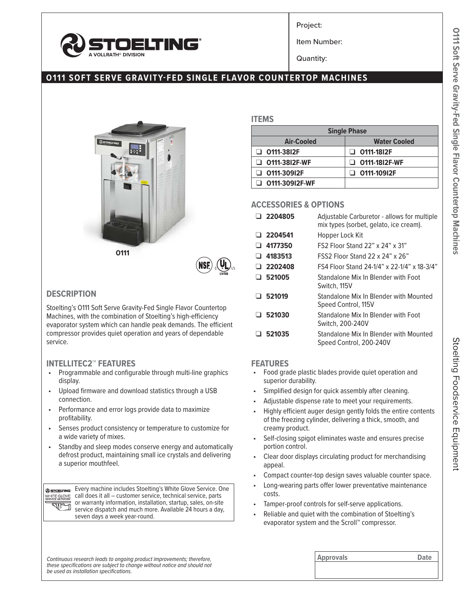

Project:

Item Number:

Quantity:

# **O111 SOFT SERVE GRAVITY-FED SINGLE FLAVOR COUNTERTOP MACHINES**



## **DESCRIPTION**

Stoelting's O111 Soft Serve Gravity-Fed Single Flavor Countertop Machines, with the combination of Stoelting's high-efficiency evaporator system which can handle peak demands. The efficient compressor provides quiet operation and years of dependable service.

#### **INTELLITEC2™ FEATURES**

- Programmable and configurable through multi-line graphics display.
- Upload firmware and download statistics through a USB connection.
- Performance and error logs provide data to maximize profitability.
- Senses product consistency or temperature to customize for a wide variety of mixes.
- Standby and sleep modes conserve energy and automatically defrost product, maintaining small ice crystals and delivering a superior mouthfeel.

Every machine includes Stoelting's White Glove Service. One @ STOELTING WHITE GLOVE call does it all – customer service, technical service, parts or warranty information, installation, startup, sales, on-site <u>allo P</u> service dispatch and much more. Available 24 hours a day, seven days a week year-round.

### **ITEMS**

| <b>Single Phase</b>   |                      |  |  |  |  |  |
|-----------------------|----------------------|--|--|--|--|--|
| Air-Cooled            | <b>Water Cooled</b>  |  |  |  |  |  |
| $\Box$ 0111-3812F     | $\Box$ 0111-1812F    |  |  |  |  |  |
| $\Box$ 0111-3812F-WF  | $\Box$ 0111-1812F-WF |  |  |  |  |  |
| $\Box$ 0111-30912F    | $\Box$ 0111-10912F   |  |  |  |  |  |
| $\Box$ 0111-30912F-WF |                      |  |  |  |  |  |

#### **ACCESSORIES & OPTIONS**

| $\Box$ 2204805 | Adjustable Carburetor - allows for multiple<br>mix types (sorbet, gelato, ice cream). |
|----------------|---------------------------------------------------------------------------------------|
| $\Box$ 2204541 | Hopper Lock Kit                                                                       |
| $\Box$ 4177350 | <b>FS2 Floor Stand 22" x 24" x 31"</b>                                                |
| $\Box$ 4183513 | <b>FSS2 Floor Stand 22 x 24" x 26"</b>                                                |
| $\Box$ 2202408 | FS4 Floor Stand 24-1/4" x 22-1/4" x 18-3/4"                                           |
| $\Box$ 521005  | Standalone Mix In Blender with Foot<br>Switch, 115V                                   |
| $\Box$ 521019  | Standalone Mix In Blender with Mounted<br>Speed Control, 115V                         |
| $\Box$ 521030  | Standalone Mix In Blender with Foot<br>Switch, 200-240V                               |
| $\Box$ 521035  | Standalone Mix In Blender with Mounted<br>Speed Control, 200-240V                     |

#### **FEATURES**

- Food grade plastic blades provide quiet operation and superior durability.
- Simplified design for quick assembly after cleaning.
- Adjustable dispense rate to meet your requirements.
- Highly efficient auger design gently folds the entire contents of the freezing cylinder, delivering a thick, smooth, and creamy product.
- Self-closing spigot eliminates waste and ensures precise portion control.
- Clear door displays circulating product for merchandising appeal.
- Compact counter-top design saves valuable counter space.
- Long-wearing parts offer lower preventative maintenance costs.
- Tamper-proof controls for self-serve applications.
- Reliable and quiet with the combination of Stoelting's evaporator system and the Scroll™ compressor.

Continuous research leads to ongoing product improvements; therefore, **Approvals Approvals Approvals Date** *these specifications are subject to change without notice and should not be used as installation specifications.*

| $\mathbf{u}$ | , , , |  |
|--------------|-------|--|
|              |       |  |

Stoelting Foodservice Equipment